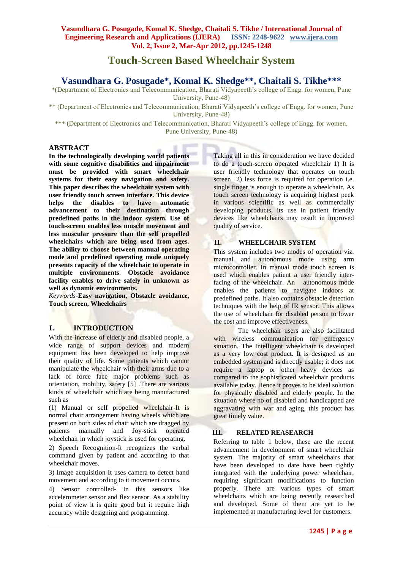# **Touch-Screen Based Wheelchair System**

## **Vasundhara G. Posugade\*, Komal K. Shedge\*\*, Chaitali S. Tikhe\*\*\***

\*(Department of Electronics and Telecommunication, Bharati Vidyapeeth's college of Engg. for women, Pune University, Pune-48)

\*\* (Department of Electronics and Telecommunication, Bharati Vidyapeeth's college of Engg. for women, Pune University, Pune-48)

\*\*\* (Department of Electronics and Telecommunication, Bharati Vidyapeeth's college of Engg. for women, Pune University, Pune-48)

## **ABSTRACT**

**In the technologically developing world patients with some cognitive disabilities and impairment must be provided with smart wheelchair systems for their easy navigation and safety. This paper describes the wheelchair system with user friendly touch screen interface. This device helps the disables to have automatic advancement to their destination through predefined paths in the indoor system. Use of touch-screen enables less muscle movement and less muscular pressure than the self propelled wheelchairs which are being used from ages. The ability to choose between manual operating mode and predefined operating mode uniquely presents capacity of the wheelchair to operate in multiple environments**. **Obstacle avoidance facility enables to drive safely in unknown as well as dynamic environments.** 

*Keywords-***Easy navigation***,* **Obstacle avoidance, Touch screen, Wheelchairs** 

## **I. INTRODUCTION**

With the increase of elderly and disabled people, a wide range of support devices and modern equipment has been developed to help improve their quality of life. Some patients which cannot manipulate the wheelchair with their arms due to a lack of force face major problems such as orientation, mobility, safety [5] .There are various kinds of wheelchair which are being manufactured such as

(1) Manual or self propelled wheelchair-It is normal chair arrangement having wheels which are present on both sides of chair which are dragged by patients manually and Joy-stick operated wheelchair in which joystick is used for operating.

2) Speech Recognition-It recognizes the verbal command given by patient and according to that wheelchair moves.

3) Image acquisition-It uses camera to detect hand movement and according to it movement occurs.

4) Sensor controlled- In this sensors like accelerometer sensor and flex sensor. As a stability point of view it is quite good but it require high accuracy while designing and programming.

Taking all in this in consideration we have decided to do a touch-screen operated wheelchair 1) It is user friendly technology that operates on touch screen 2) less force is required for operation i.e. single finger is enough to operate a wheelchair. As touch screen technology is acquiring highest peek in various scientific as well as commercially developing products, its use in patient friendly devices like wheelchairs may result in improved quality of service.

## **II. WHEELCHAIR SYSTEM**

This system includes two modes of operation viz. manual and autonomous mode using arm microcontroller. In manual mode touch screen is used which enables patient a user friendly interfacing of the wheelchair. An autonomous mode enables the patients to navigate indoors at predefined paths. It also contains obstacle detection techniques with the help of IR sensor. This allows the use of wheelchair for disabled person to lower the cost and improve effectiveness.

The wheelchair users are also facilitated with wireless communication for emergency situation. The Intelligent wheelchair is developed as a very low cost product. It is designed as an embedded system and is directly usable; it does not require a laptop or other heavy devices as compared to the sophisticated wheelchair products available today. Hence it proves to be ideal solution for physically disabled and elderly people. In the situation where no of disabled and handicapped are aggravating with war and aging, this product has great timely value.

## **III. RELATED REASEARCH**

Referring to table 1 below, these are the recent advancement in development of smart wheelchair system. The majority of smart wheelchairs that have been developed to date have been tightly integrated with the underlying power wheelchair, requiring significant modifications to function properly. There are various types of smart wheelchairs which are being recently researched and developed. Some of them are yet to be implemented at manufacturing level for customers.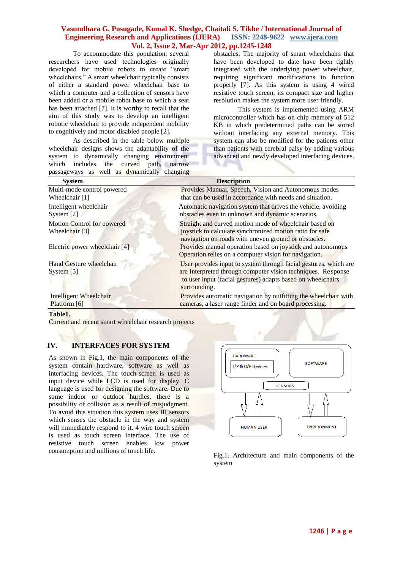#### **Vasundhara G. Posugade, Komal K. Shedge, Chaitali S. Tikhe / International Journal of Engineering Research and Applications (IJERA) ISSN: 2248-9622 www.ijera.com Vol. 2, Issue 2, Mar-Apr 2012, pp.1245-1248**

To accommodate this population, several researchers have used technologies originally developed for mobile robots to create "smart wheelchairs." A smart wheelchair typically consists of either a standard power wheelchair base to which a computer and a collection of sensors have been added or a mobile robot base to which a seat has been attached [7]. It is worthy to recall that the aim of this study was to develop an intelligent robotic wheelchair to provide independent mobility to cognitively and motor disabled people [2].

As described in the table below multiple wheelchair designs shows the adaptability of the system to dynamically changing environment which includes the curved path, narrow passageways as well as dynamically changing

obstacles. The majority of smart wheelchairs that have been developed to date have been tightly integrated with the underlying power wheelchair, requiring significant modifications to function properly [7]. As this system is using 4 wired resistive touch screen, its compact size and higher resolution makes the system more user friendly.

This system is implemented using ARM microcontroller which has on chip memory of 512 KB in which predetermined paths can be stored without interfacing any external memory. This system can also be modified for the patients other than patients with cerebral palsy by adding various advanced and newly developed interfacing devices.

| $p$ assageways as well as aymanically enanging          |                                                                                                                                                                                                                 |
|---------------------------------------------------------|-----------------------------------------------------------------------------------------------------------------------------------------------------------------------------------------------------------------|
| <b>System</b>                                           | <b>Description</b>                                                                                                                                                                                              |
| Multi-mode control powered<br>Wheelchair [1]            | Provides Manual, Speech, Vision and Autonomous modes<br>that can be used in accordance with needs and situation.                                                                                                |
| Intelligent wheelchair<br>System [2]                    | Automatic navigation system that drives the vehicle, avoiding<br>obstacles even in unknown and dynamic scenarios.                                                                                               |
| Motion Control for powered<br>Wheelchair <sup>[3]</sup> | Straight and curved motion mode of wheelchair based on<br>joystick to calculate synchronized motion ratio for safe<br>navigation on roads with uneven ground or obstacles.                                      |
| Electric power wheelchair [4]                           | Provides manual operation based on joystick and autonomous<br>Operation relies on a computer vision for navigation.                                                                                             |
| Hand Gesture wheelchair<br>System $[5]$                 | User provides input to system through facial gestures, which are<br>are Interpreted through computer vision techniques. Response<br>to user input (facial gestures) adapts based on wheelchairs<br>surrounding. |
| Intelligent Wheelchair<br>Platform [6]                  | Provides automatic navigation by outfitting the wheelchair with<br>cameras, a laser range finder and on board processing.                                                                                       |

#### **Table1.**

Current and recent smart wheelchair research projects

#### **IV. INTERFACES FOR SYSTEM**

As shown in Fig.1, the main components of the system contain hardware, software as well as interfacing devices. The touch-screen is used as input device while LCD is used for display. C language is used for designing the software. Due to some indoor or outdoor hurdles, there is a possibility of collision as a result of misjudgment. To avoid this situation this system uses IR sensors which senses the obstacle in the way and system will immediately respond to it. 4 wire touch screen is used as touch screen interface. The use of resistive touch screen enables low power consumption and millions of touch life.<br>Fig.1. Architecture and main components of the



system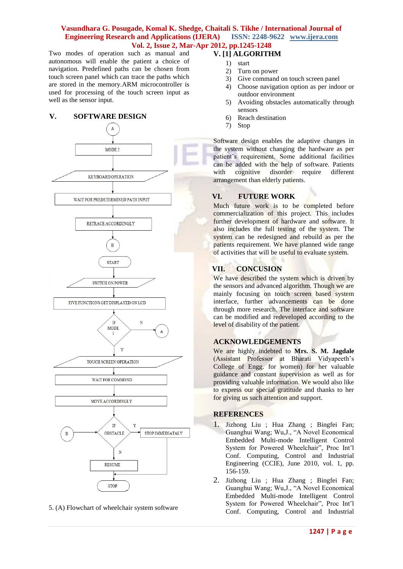#### **Vasundhara G. Posugade, Komal K. Shedge, Chaitali S. Tikhe / International Journal of Engineering Research and Applications (IJERA) ISSN: 2248-9622 www.ijera.com Vol. 2, Issue 2, Mar-Apr 2012, pp.1245-1248**

Two modes of operation such as manual and autonomous will enable the patient a choice of navigation. Predefined paths can be chosen from touch screen panel which can trace the paths which are stored in the memory.ARM microcontroller is used for processing of the touch screen input as well as the sensor input.

#### **V. SOFTWARE DESIGN**



5. (A) Flowchart of wheelchair system software

## **V. [1] ALGORITHM**

- 1) start
- 2) Turn on power
- 3) Give command on touch screen panel
- 4) Choose navigation option as per indoor or outdoor environment
- 5) Avoiding obstacles automatically through sensors
- 6) Reach destination
- 7) Stop

Software design enables the adaptive changes in the system without changing the hardware as per patient's requirement. Some additional facilities can be added with the help of software. Patients with cognitive disorder require different arrangement than elderly patients.

## **VI. FUTURE WORK**

Much future work is to be completed before commercialization of this project. This includes further development of hardware and software. It also includes the full testing of the system. The system can be redesigned and rebuild as per the patients requirement. We have planned wide range of activities that will be useful to evaluate system.

#### **VII. CONCUSION**

We have described the system which is driven by the sensors and advanced algorithm. Though we are mainly focusing on touch screen based system interface, further advancements can be done through more research. The interface and software can be modified and redeveloped according to the level of disability of the patient.

## **ACKNOWLEDGEMENTS**

We are highly indebted to **Mrs. S. M. Jagdale** (Assistant Professor at Bharati Vidyapeeth's College of Engg. for women) for her valuable guidance and constant supervision as well as for providing valuable information. We would also like to express our special gratitude and thanks to her for giving us such attention and support.

#### **REFERENCES**

- 1. Jizhong Liu ; Hua Zhang ; Bingfei Fan; Guanghui Wang; Wu,J., "A Novel Economical Embedded Multi-mode Intelligent Control System for Powered Wheelchair", Proc Int'l Conf. Computing, Control and Industrial Engineering (CCIE), June 2010, vol. 1, pp. 156-159.
- 2. Jizhong Liu ; Hua Zhang ; Bingfei Fan; Guanghui Wang; Wu,J., "A Novel Economical Embedded Multi-mode Intelligent Control System for Powered Wheelchair", Proc Int'l Conf. Computing, Control and Industrial